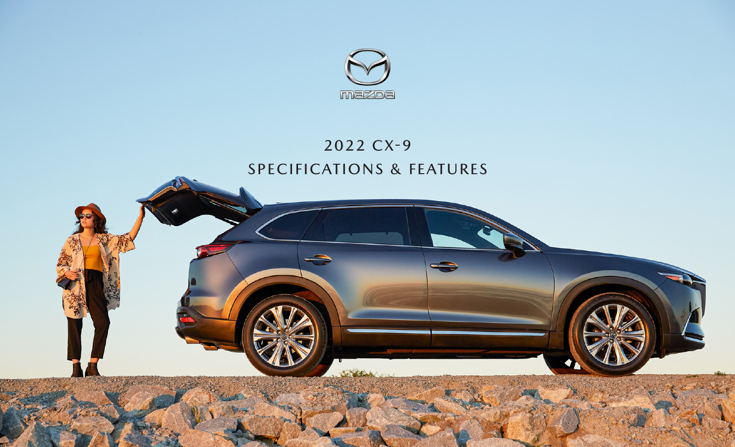

# 2022 CX-9 SPECIFICATIONS & FEATURES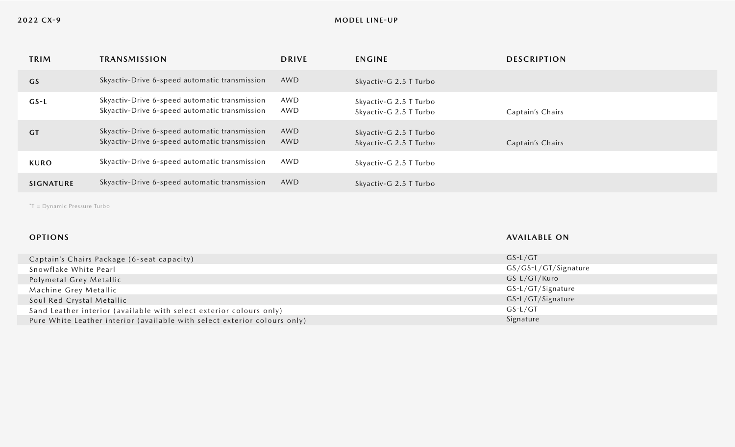| <b>TRIM</b>      | <b>TRANSMISSION</b>                                                                            | <b>DRIVE</b> | <b>ENGINE</b>                                    | <b>DESCRIPTION</b> |
|------------------|------------------------------------------------------------------------------------------------|--------------|--------------------------------------------------|--------------------|
| GS               | Skyactiv-Drive 6-speed automatic transmission                                                  | AWD          | Skyactiv-G 2.5 T Turbo                           |                    |
| $GS-L$           | Skyactiv-Drive 6-speed automatic transmission<br>Skyactiv-Drive 6-speed automatic transmission | AWD<br>AWD   | Skyactiv-G 2.5 T Turbo<br>Skyactiv-G 2.5 T Turbo | Captain's Chairs   |
| <b>GT</b>        | Skyactiv-Drive 6-speed automatic transmission<br>Skyactiv-Drive 6-speed automatic transmission | AWD<br>AWD   | Skyactiv-G 2.5 T Turbo<br>Skyactiv-G 2.5 T Turbo | Captain's Chairs   |
| <b>KURO</b>      | Skyactiv-Drive 6-speed automatic transmission                                                  | AWD          | Skyactiv-G 2.5 T Turbo                           |                    |
| <b>SIGNATURE</b> | Skyactiv-Drive 6-speed automatic transmission                                                  | AWD          | Skyactiv-G 2.5 T Turbo                           |                    |

\*T = Dynamic Pressure Turbo

# **OPTIONS**

**AVAILABLE ON**

| Captain's Chairs Package (6-seat capacity)                                | $GS-L/GT$              |
|---------------------------------------------------------------------------|------------------------|
| Snowflake White Pearl                                                     | $GS/GS-L/GT/Signature$ |
| Polymetal Grey Metallic                                                   | $GS-L/GT/Kuro$         |
| Machine Grey Metallic                                                     | $GS-L/GT/Signature$    |
| Soul Red Crystal Metallic                                                 | $GS-L/GT/Signature$    |
| Sand Leather interior (available with select exterior colours only)       | $GS-L/GT$              |
| Pure White Leather interior (available with select exterior colours only) | Signature              |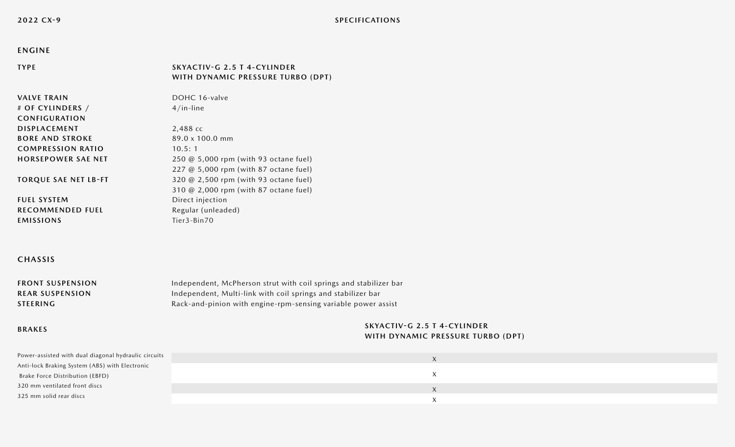# **ENGINE**

#### **TYPE SKYACTIV-G 2.5 T 4-CYLINDER WITH DYNAMIC PRESSURE TURBO (DPT)**

**VALVE TRAIN # OF CYLINDERS / CONFIGURATION DISPLACEMENT BORE AND STROKE COMPRESSION RATIO HORSEPOWER SAE NET**

**TORQUE SAE NET LB-FT**

**RECOMMENDED FUEL**

DOHC 16-valve 4/in-line 2,488 cc 89.0 x 100.0 mm 10.5: 1

250 @ 5,000 rpm (with 93 octane fuel) 227 @ 5,000 rpm (with 87 octane fuel) 320 @ 2,500 rpm (with 93 octane fuel) 310 @ 2,000 rpm (with 87 octane fuel) Direct injection Regular (unleaded) Tier3-Bin70

# **CHASSIS**

**FUEL SYSTEM**

**EMISSIONS**

| <b>FRONT SUSPENSION</b> | Independent, McPherson strut with coil springs and stabilizer bar |
|-------------------------|-------------------------------------------------------------------|
| <b>REAR SUSPENSION</b>  | Independent, Multi-link with coil springs and stabilizer bar      |
| <b>STEERING</b>         | Rack-and-pinion with engine-rpm-sensing variable power assist     |

# **BRAKES**

# **SKYACTIV-G 2.5 T 4-CYLINDER WITH DYNAMIC PRESSURE TURBO (DPT)**

| Power-assisted with dual diagonal hydraulic circuits | $\Lambda$ |  |
|------------------------------------------------------|-----------|--|
| Anti-lock Braking System (ABS) with Electronic       |           |  |
| Brake Force Distribution (EBFD)                      |           |  |
| 320 mm ventilated front discs                        | X         |  |
| 325 mm solid rear discs                              |           |  |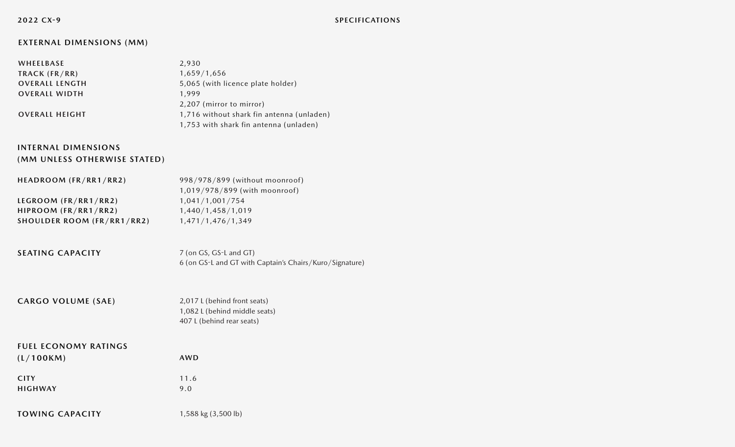**2022 CX-9**

# **EXTERNAL DIMENSIONS (MM)**

| WHEELBASE             | 2,930                                     |
|-----------------------|-------------------------------------------|
| TRACK (FR/RR)         | 1,659/1,656                               |
| <b>OVERALL LENGTH</b> | 5,065 (with licence plate holder)         |
| <b>OVERALL WIDTH</b>  | 1.999                                     |
|                       | 2,207 (mirror to mirror)                  |
| <b>OVERALL HEIGHT</b> | 1,716 without shark fin antenna (unladen) |
|                       | 1,753 with shark fin antenna (unladen)    |

# **INTERNAL DIMENSIONS (MM UNLESS OTHERWISE STATED)**

| HEADROOM (FR/RR1/RR2)             | 998/978/899 (without moonroof) |
|-----------------------------------|--------------------------------|
|                                   | 1,019/978/899 (with moonroof)  |
| LEGROOM (FR/RR1/RR2)              | 1,041/1,001/754                |
| HIPROOM (FR/RR1/RR2)              | 1,440/1,458/1,019              |
| <b>SHOULDER ROOM (FR/RR1/RR2)</b> | 1,471/1,476/1,349              |

**SEATING CAPACITY** 7 (on GS, GS-L and GT) 6 (on GS-L and GT with Captain's Chairs/Kuro/Signature)

#### **CARGO VOLUME (SAE)** 2,017 L (behind front seats) 1,082 L (behind middle seats) 407 L (behind rear seats)

# **FUEL ECONOMY RATINGS**

| (L/100KM)      | <b>AWD</b> |
|----------------|------------|
| <b>CITY</b>    | 11.6       |
| <b>HIGHWAY</b> | 9.0        |

**TOWING CAPACITY** 1,588 kg (3,500 lb)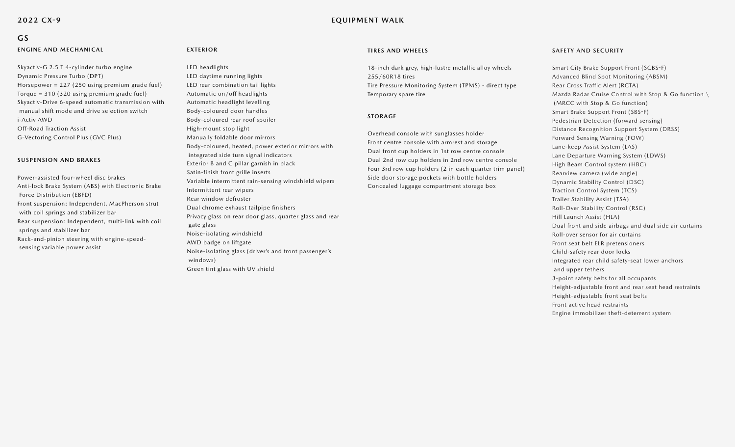# **GS**

# **ENGINE AND MECHANICAL**

Skyactiv-G 2.5 T 4-cylinder turbo engine Dynamic Pressure Turbo (DPT) Horsepower = 227 (250 using premium grade fuel) Torque = 310 (320 using premium grade fuel) Skyactiv-Drive 6-speed automatic transmission with manual shift mode and drive selection switch i-Activ AWD Off-Road Traction Assist G-Vectoring Control Plus (GVC Plus)

### **SUSPENSION AND BRAKES**

Power-assisted four-wheel disc brakes Anti-lock Brake System (ABS) with Electronic Brake Force Distribution (EBFD) Front suspension: Independent, MacPherson strut with coil springs and stabilizer bar Rear suspension: Independent, multi-link with coil springs and stabilizer bar Rack-and-pinion steering with engine-speed sensing variable power assist

### **EXTERIOR**

#### LED headlights

LED daytime running lights LED rear combination tail lights Automatic on/off headlights Automatic headlight levelling Body-coloured door handles Body-coloured rear roof spoiler High-mount stop light Manually foldable door mirrors Body-coloured, heated, power exterior mirrors with integrated side turn signal indicators Exterior B and C pillar garnish in black Satin-finish front grille inserts Variable intermittent rain-sensing windshield wipers Intermittent rear wipers Rear window defroster Dual chrome exhaust tailpipe finishers Privacy glass on rear door glass, quarter glass and rear gate glass Noise-isolating windshield AWD badge on liftgate Noise-isolating glass (driver's and front passenger's windows) Green tint glass with UV shield

#### **TIRES AND WHEELS**

18-inch dark grey, high-lustre metallic alloy wheels 255/60R18 tires Tire Pressure Monitoring System (TPMS) - direct type Temporary spare tire

#### **STORAGE**

Overhead console with sunglasses holder Front centre console with armrest and storage Dual front cup holders in 1st row centre console Dual 2nd row cup holders in 2nd row centre console Four 3rd row cup holders (2 in each quarter trim panel) Side door storage pockets with bottle holders Concealed luggage compartment storage box

#### **SAFETY AND SECURITY**

Smart City Brake Support Front (SCBS-F) Advanced Blind Spot Monitoring (ABSM) Rear Cross Traffic Alert (RCTA) Mazda Radar Cruise Control with Stop & Go function \ (MRCC with Stop & Go function) Smart Brake Support Front (SBS-F) Pedestrian Detection (forward sensing) Distance Recognition Support System (DRSS) Forward Sensing Warning (FOW) Lane-keep Assist System (LAS) Lane Departure Warning System (LDWS) High Beam Control system (HBC) Rearview camera (wide angle) Dynamic Stability Control (DSC) Traction Control System (TCS) Trailer Stability Assist (TSA) Roll-Over Stability Control (RSC) Hill Launch Assist (HLA) Dual front and side airbags and dual side air curtains Roll-over sensor for air curtains Front seat belt ELR pretensioners Child-safety rear door locks Integrated rear child safety-seat lower anchors and upper tethers 3-point safety belts for all occupants Height-adjustable front and rear seat head restraints Height-adjustable front seat belts Front active head restraints

Engine immobilizer theft-deterrent system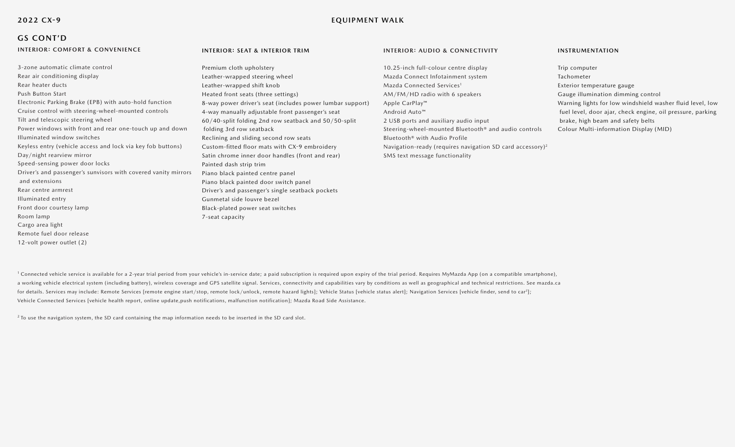### **2022 CX-9**

# **EQUIPMENT WALK**

# **GS CONT'D**

12-volt power outlet (2)

# **INTERIOR: COMFORT & CONVENIENCE**

# 3-zone automatic climate control Rear air conditioning display Rear heater ducts Push Button Start Electronic Parking Brake (EPB) with auto-hold function Cruise control with steering-wheel-mounted controls Tilt and telescopic steering wheel Power windows with front and rear one-touch up and down Illuminated window switches Keyless entry (vehicle access and lock via key fob buttons) Day/night rearview mirror Speed-sensing power door locks Driver's and passenger's sunvisors with covered vanity mirrors and extensions Rear centre armrest Illuminated entry Front door courtesy lamp Room lamp Cargo area light Remote fuel door release

#### **INTERIOR: SEAT & INTERIOR TRIM**

7-seat capacity

Premium cloth upholstery Leather-wrapped steering wheel Leather-wrapped shift knob Heated front seats (three settings) 8-way power driver's seat (includes power lumbar support) 4-way manually adjustable front passenger's seat 60/40-split folding 2nd row seatback and 50/50-split folding 3rd row seatback Reclining and sliding second row seats Custom-fitted floor mats with CX-9 embroidery Satin chrome inner door handles (front and rear) Painted dash strip trim Piano black painted centre panel Piano black painted door switch panel Driver's and passenger's single seatback pockets Gunmetal side louvre bezel Black-plated power seat switches

#### **INTERIOR: AUDIO & CONNECTIVITY**

10.25-inch full-colour centre display Mazda Connect Infotainment system Mazda Connected Services<sup>1</sup> AM/FM/HD radio with 6 speakers Apple CarPlay™ Android Auto™ 2 USB ports and auxiliary audio input Steering-wheel-mounted Bluetooth® and audio controls Bluetooth® with Audio Profile Navigation-ready (requires navigation SD card accessory)2 SMS text message functionality

#### **INSTRUMENTATION**

Trip computer Tachometer Exterior temperature gauge Gauge illumination dimming control Warning lights for low windshield washer fluid level, low fuel level, door ajar, check engine, oil pressure, parking brake, high beam and safety belts Colour Multi-information Display (MID)

<sup>1</sup> Connected vehicle service is available for a 2-year trial period from your vehicle's in-service date; a paid subscription is required upon expiry of the trial period. Requires MyMazda App (on a compatible smartphone), a working vehicle electrical system (including battery), wireless coverage and GPS satellite signal. Services, connectivity and capabilities vary by conditions as well as geographical and technical restrictions. See mazda. for details. Services may include: Remote Services [remote engine start/stop, remote lock/unlock, remote hazard lights]; Vehicle Status [vehicle status alert]; Navigation Services [vehicle finder, send to car<sup>2</sup>]; Vehicle Connected Services [vehicle health report, online update,push notifications, malfunction notification]; Mazda Road Side Assistance.

 $2$  To use the navigation system, the SD card containing the map information needs to be inserted in the SD card slot.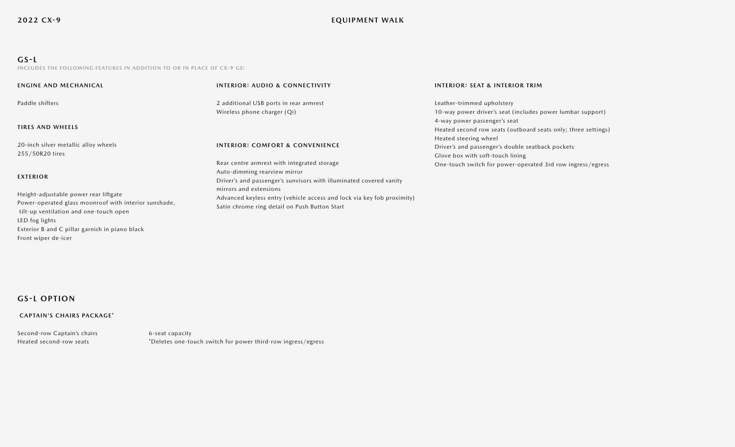# **GS-L**

**INCLUDES THE FOLLOWING FEATURES IN ADDITION TO OR IN PLACE OF CX-9 GS:**

| <b>ENGINE AND MECHANICAL</b>                                                                                                             | <b>INTERIOR: AUDIO &amp; CONNECTIVITY</b>                                                                                                         | <b>INTERIOR: SEAT &amp; INTERIOR TRIM</b>                                                                                                                   |
|------------------------------------------------------------------------------------------------------------------------------------------|---------------------------------------------------------------------------------------------------------------------------------------------------|-------------------------------------------------------------------------------------------------------------------------------------------------------------|
| Paddle shifters                                                                                                                          | 2 additional USB ports in rear armrest                                                                                                            | Leather-trimmed upholstery                                                                                                                                  |
| <b>TIRES AND WHEELS</b>                                                                                                                  | Wireless phone charger (Qi)                                                                                                                       | 10-way power driver's seat (includes power lumbar support)<br>4-way power passenger's seat<br>Heated second row seats (outboard seats only; three settings) |
| 20-inch silver metallic alloy wheels<br>255/50R20 tires                                                                                  | <b>INTERIOR: COMFORT &amp; CONVENIENCE</b>                                                                                                        | Heated steering wheel<br>Driver's and passenger's double seatback pockets<br>Glove box with soft-touch lining                                               |
| <b>EXTERIOR</b>                                                                                                                          | Rear centre armrest with integrated storage<br>Auto-dimming rearview mirror<br>Driver's and passenger's sunvisors with illuminated covered vanity | One-touch switch for power-operated 3rd row ingress/egress                                                                                                  |
| Height-adjustable power rear liftgate<br>Power-operated glass moonroof with interior sunshade,<br>tilt-up ventilation and one-touch open | mirrors and extensions<br>Advanced keyless entry (vehicle access and lock via key fob proximity)<br>Satin chrome ring detail on Push Button Start |                                                                                                                                                             |
| LED fog lights<br>Exterior B and C pillar garnish in piano black<br>Front wiper de-icer                                                  |                                                                                                                                                   |                                                                                                                                                             |

# **GS-L OPTION**

### **CAPTAIN'S CHAIRS PACKAGE\***

| Second-row Captain's chairs | 6-seat capacity                                              |
|-----------------------------|--------------------------------------------------------------|
| Heated second-row seats     | *Deletes one-touch switch for power third-row ingress/egress |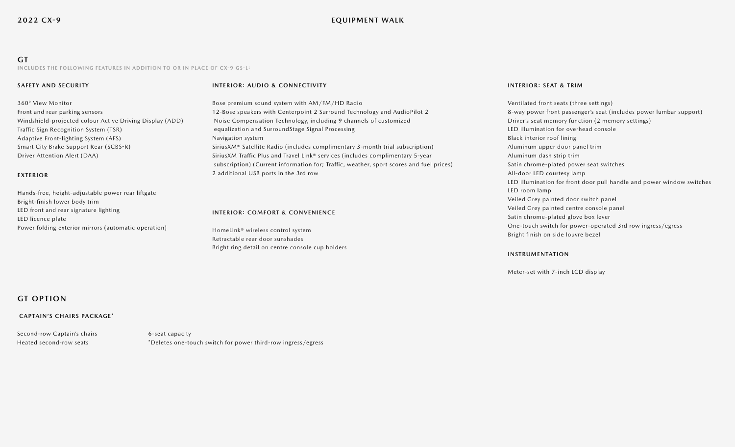# **EQUIPMENT WALK**

**GT INCLUDES THE FOLLOWING FEATURES IN ADDITION TO OR IN PLACE OF CX-9 GS-L:**

#### **SAFETY AND SECURITY**

#### **INTERIOR: AUDIO & CONNECTIVITY**

360° View Monitor Front and rear parking sensors Windshield-projected colour Active Driving Display (ADD) Traffic Sign Recognition System (TSR) Adaptive Front-lighting System (AFS) Smart City Brake Support Rear (SCBS-R) Driver Attention Alert (DAA)

#### **EXTERIOR**

Hands-free, height-adjustable power rear liftgate Bright-finish lower body trim LED front and rear signature lighting LED licence plate Power folding exterior mirrors (automatic operation)

Bose premium sound system with AM/FM/HD Radio 12-Bose speakers with Centerpoint 2 Surround Technology and AudioPilot 2 Noise Compensation Technology, including 9 channels of customized equalization and SurroundStage Signal Processing Navigation system SiriusXM® Satellite Radio (includes complimentary 3-month trial subscription) SiriusXM Traffic Plus and Travel Link® services (includes complimentary 5-year subscription) (Current information for; Traffic, weather, sport scores and fuel prices) 2 additional USB ports in the 3rd row

#### **INTERIOR: COMFORT & CONVENIENCE**

HomeLink® wireless control system Retractable rear door sunshades Bright ring detail on centre console cup holders

#### **INTERIOR: SEAT & TRIM**

Ventilated front seats (three settings) 8-way power front passenger's seat (includes power lumbar support) Driver's seat memory function (2 memory settings) LED illumination for overhead console Black interior roof lining Aluminum upper door panel trim Aluminum dash strip trim Satin chrome-plated power seat switches All-door LED courtesy lamp LED illumination for front door pull handle and power window switches LED room lamp Veiled Grey painted door switch panel Veiled Grey painted centre console panel Satin chrome-plated glove box lever One-touch switch for power-operated 3rd row ingress/egress Bright finish on side louvre bezel

#### **INSTRUMENTATION**

Meter-set with 7-inch LCD display

# **GT OPTION**

#### **CAPTAIN'S CHAIRS PACKAGE\***

Second-row Captain's chairs 6-seat capacity Heated second-row seats \*Deletes one-touch switch for power third-row ingress/egress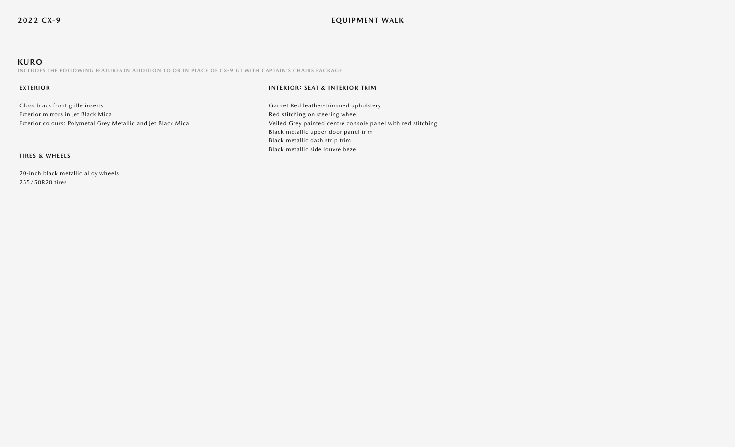# **KURO**

**INCLUDES THE FOLLOWING FEATURES IN ADDITION TO OR IN PLACE OF CX-9 GT WITH CAPTAIN'S CHAIRS PACKAGE:**

#### **EXTERIOR**

Gloss black front grille inserts Exterior mirrors in Jet Black Mica Exterior colours: Polymetal Grey Metallic and Jet Black Mica

#### **TIRES & WHEELS**

20-inch black metallic alloy wheels 255/50R20 tires

#### **INTERIOR: SEAT & INTERIOR TRIM**

Garnet Red leather-trimmed upholstery Red stitching on steering wheel Veiled Grey painted centre console panel with red stitching Black metallic upper door panel trim Black metallic dash strip trim Black metallic side louvre bezel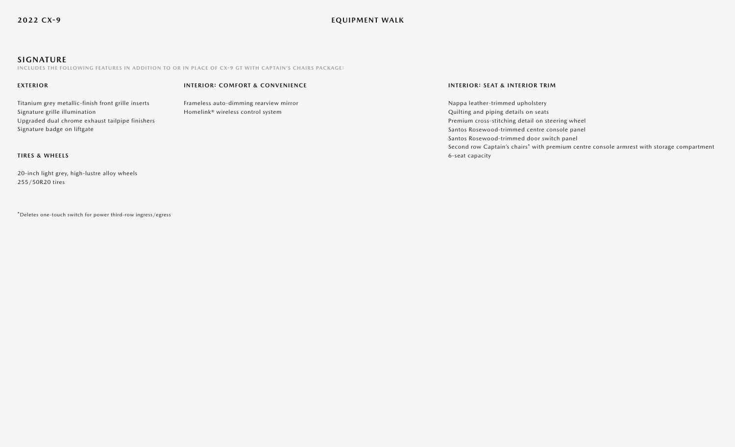# **SIGNATURE**

**INCLUDES THE FOLLOWING FEATURES IN ADDITION TO OR IN PLACE OF CX-9 GT WITH CAPTAIN'S CHAIRS PACKAGE:**

#### **EXTERIOR**

#### **INTERIOR: COMFORT & CONVENIENCE**

Titanium grey metallic-finish front grille inserts Signature grille illumination Upgraded dual chrome exhaust tailpipe finishers Signature badge on liftgate

Frameless auto-dimming rearview mirror Homelink® wireless control system

### **INTERIOR: SEAT & INTERIOR TRIM**

Nappa leather-trimmed upholstery Quilting and piping details on seats Premium cross-stitching detail on steering wheel Santos Rosewood-trimmed centre console panel Santos Rosewood-trimmed door switch panel Second row Captain's chairs\* with premium centre console armrest with storage compartment 6-seat capacity

# **TIRES & WHEELS**

20-inch light grey, high-lustre alloy wheels 255/50R20 tires

\*Deletes one-touch switch for power third-row ingress/egress